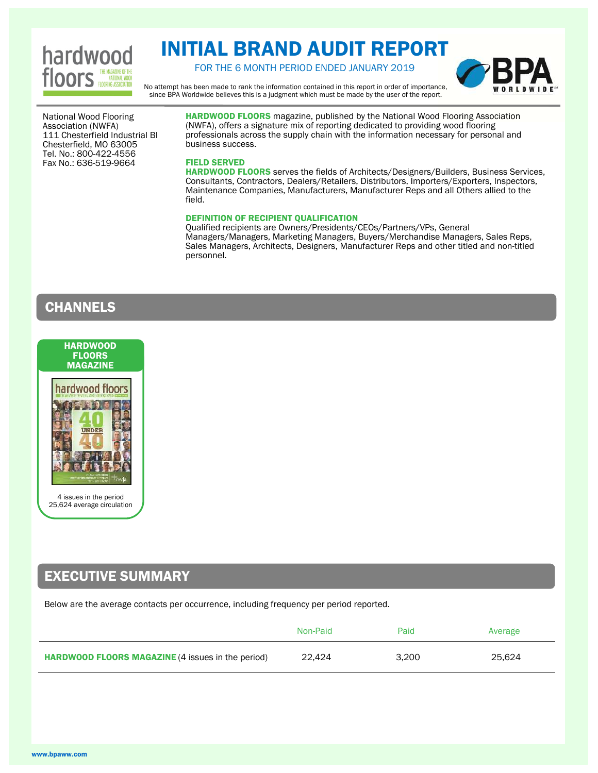

# INITIAL BRAND AUDIT REPORT

FOR THE 6 MONTH PERIOD ENDED JANUARY 2019



No attempt has been made to rank the information contained in this report in order of importance, since BPA Worldwide believes this is a judgment which must be made by the user of the report.

National Wood Flooring Association (NWFA) 111 Chesterfield Industrial Bl Chesterfield, MO 63005 Tel. No.: 800-422-4556 Fax No.: 636-519-9664

HARDWOOD FLOORS magazine, published by the National Wood Flooring Association (NWFA), offers a signature mix of reporting dedicated to providing wood flooring professionals across the supply chain with the information necessary for personal and business success.

### FIELD SERVED

HARDWOOD FLOORS serves the fields of Architects/Designers/Builders, Business Services, Consultants, Contractors, Dealers/Retailers, Distributors, Importers/Exporters, Inspectors, Maintenance Companies, Manufacturers, Manufacturer Reps and all Others allied to the field.

### DEFINITION OF RECIPIENT QUALIFICATION

Qualified recipients are Owners/Presidents/CEOs/Partners/VPs, General Managers/Managers, Marketing Managers, Buyers/Merchandise Managers, Sales Reps, Sales Managers, Architects, Designers, Manufacturer Reps and other titled and non-titled personnel.

### **CHANNELS**



25,624 average circulation

## EXECUTIVE SUMMARY

Below are the average contacts per occurrence, including frequency per period reported.

|                                                          | Non-Paid | Paid  | Average |
|----------------------------------------------------------|----------|-------|---------|
| <b>HARDWOOD FLOORS MAGAZINE (4 issues in the period)</b> | 22.424   | 3.200 | 25.624  |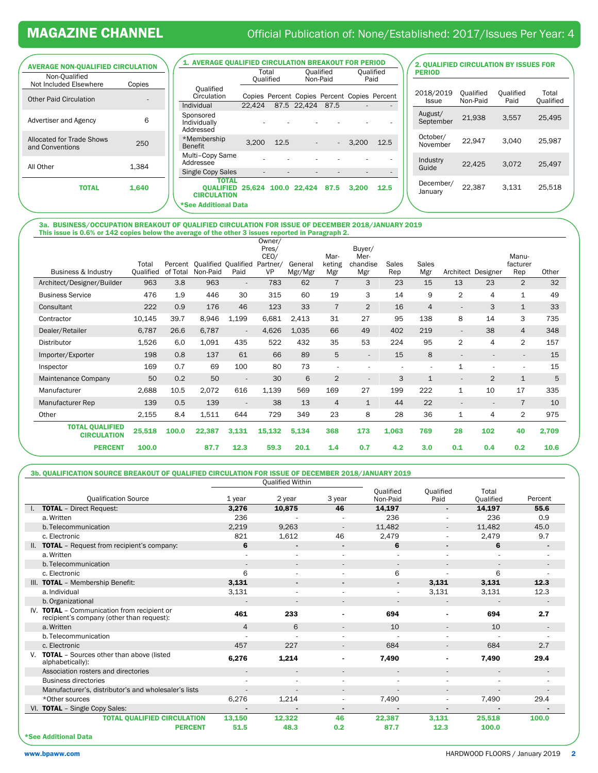### MAGAZINE CHANNEL **Official Publication of: None/Established: 2017/Issues Per Year: 4**

| <b>AVERAGE NON-QUALIFIED CIRCULATION</b>     |        |
|----------------------------------------------|--------|
| Non-Qualified<br>Not Included Elsewhere      | Copies |
| <b>Other Paid Circulation</b>                |        |
| Advertiser and Agency                        | 6      |
| Allocated for Trade Shows<br>and Conventions | 250    |
| All Other                                    | 1.384  |
| ΤΩΤΑΙ                                        | 1,640  |

| <b>1. AVERAGE OUALIFIED CIRCULATION BREAKOUT FOR PERIOD</b>       |        |                    |             |                                              |                   |      |  |
|-------------------------------------------------------------------|--------|--------------------|-------------|----------------------------------------------|-------------------|------|--|
|                                                                   |        | Total<br>Oualified | Non-Paid    | Oualified                                    | Oualified<br>Paid |      |  |
| Qualified<br>Circulation                                          |        |                    |             | Copies Percent Copies Percent Copies Percent |                   |      |  |
| Individual                                                        | 22.424 |                    | 87.5 22,424 | 87.5                                         |                   |      |  |
| Sponsored<br>Individually<br>Addressed                            |        |                    |             |                                              |                   |      |  |
| *Membership<br><b>Benefit</b>                                     | 3.200  | 12.5               |             | ÷,                                           | 3.200             | 12.5 |  |
| Multi-Copy Same<br>Addressee                                      |        |                    |             |                                              |                   |      |  |
| Single Copy Sales                                                 |        |                    |             |                                              |                   |      |  |
| TOTAL<br>QUALIFIED 25,624 100.0 22,424 87.5<br><b>CIRCULATION</b> |        |                    |             |                                              | 3.200             | 12.5 |  |
| *See Additional Data                                              |        |                    |             |                                              |                   |      |  |

### 2. QUALIFIED CIRCULATION BY ISSUES FOR PERIOD

| 2018/2019<br>Issue   | Oualified<br>Non-Paid | Qualified<br>Paid | Total<br>Oualified |
|----------------------|-----------------------|-------------------|--------------------|
| August/<br>September | 21,938                | 3,557             | 25.495             |
| October/<br>November | 22.947                | 3.040             | 25,987             |
| Industry<br>Guide    | 22.425                | 3.072             | 25.497             |
| December/<br>January | 22.387                | 3,131             | 25.518             |

#### 3a. BUSINESS/OCCUPATION BREAKOUT OF QUALIFIED CIRCULATION FOR ISSUE OF DECEMBER 2018/JANUARY 2019 This issue is 0.6% or 142 copies below the average of the other 3 issues reported in Paragraph 2.

| Business & Industry                          | Total<br>Qualified | Percent<br>of Total | <b>Qualified Qualified</b><br>Non-Paid | Paid                     | Owner/<br>Pres/<br>CEO/<br>Partner/<br>VP | General<br>Mgr/Mgr | Mar-<br>keting<br>Mgr | Buyer/<br>Mer-<br>chandise<br>Mgr | <b>Sales</b><br>Rep | <b>Sales</b><br>Mgr |                          | Architect Designer | Manu-<br>facturer<br>Rep | Other |
|----------------------------------------------|--------------------|---------------------|----------------------------------------|--------------------------|-------------------------------------------|--------------------|-----------------------|-----------------------------------|---------------------|---------------------|--------------------------|--------------------|--------------------------|-------|
| Architect/Designer/Builder                   | 963                | 3.8                 | 963                                    | $\overline{\phantom{a}}$ | 783                                       | 62                 | $\overline{7}$        | 3                                 | 23                  | 15                  | 13                       | 23                 | $\overline{2}$           | 32    |
| <b>Business Service</b>                      | 476                | 1.9                 | 446                                    | 30                       | 315                                       | 60                 | 19                    | 3                                 | 14                  | 9                   | $\overline{2}$           | 4                  | 1                        | 49    |
| Consultant                                   | 222                | 0.9                 | 176                                    | 46                       | 123                                       | 33                 | $\overline{7}$        | 2                                 | 16                  | $\overline{4}$      | $\overline{\phantom{a}}$ | 3                  | $\mathbf 1$              | 33    |
| Contractor                                   | 10,145             | 39.7                | 8,946                                  | 1,199                    | 6,681                                     | 2,413              | 31                    | 27                                | 95                  | 138                 | 8                        | 14                 | 3                        | 735   |
| Dealer/Retailer                              | 6,787              | 26.6                | 6,787                                  | ٠.                       | 4,626                                     | 1,035              | 66                    | 49                                | 402                 | 219                 |                          | 38                 | $\overline{4}$           | 348   |
| Distributor                                  | 1,526              | 6.0                 | 1,091                                  | 435                      | 522                                       | 432                | 35                    | 53                                | 224                 | 95                  | $\overline{2}$           | 4                  | $\overline{2}$           | 157   |
| Importer/Exporter                            | 198                | 0.8                 | 137                                    | 61                       | 66                                        | 89                 | 5                     |                                   | 15                  | 8                   |                          | ٠                  | ٠                        | 15    |
| Inspector                                    | 169                | 0.7                 | 69                                     | 100                      | 80                                        | 73                 | $\sim$                |                                   |                     |                     | $\mathbf{1}$             | ۰                  | ٠                        | 15    |
| Maintenance Company                          | 50                 | 0.2                 | 50                                     | ٠                        | 30                                        | 6                  | $\overline{2}$        |                                   | 3                   | $\mathbf{1}$        |                          | $\overline{2}$     | $1\,$                    | 5     |
| Manufacturer                                 | 2,688              | 10.5                | 2,072                                  | 616                      | 1,139                                     | 569                | 169                   | 27                                | 199                 | 222                 | $\mathbf{1}$             | 10                 | 17                       | 335   |
| Manufacturer Rep                             | 139                | 0.5                 | 139                                    | ٠                        | 38                                        | 13                 | $\overline{4}$        | $\mathbf{1}$                      | 44                  | 22                  |                          | ٠                  | $\overline{7}$           | 10    |
| Other                                        | 2,155              | 8.4                 | 1,511                                  | 644                      | 729                                       | 349                | 23                    | 8                                 | 28                  | 36                  | $\mathbf{1}$             | 4                  | $\overline{2}$           | 975   |
| <b>TOTAL QUALIFIED</b><br><b>CIRCULATION</b> | 25,518             | 100.0               | 22,387                                 | 3,131                    | 15,132                                    | 5,134              | 368                   | 173                               | 1,063               | 769                 | 28                       | 102                | 40                       | 2,709 |
| <b>PERCENT</b>                               | 100.0              |                     | 87.7                                   | 12.3                     | 59.3                                      | 20.1               | 1.4                   | 0.7                               | 4.2                 | 3.0                 | 0.1                      | 0.4                | 0.2                      | 10.6  |

### 3b. QUALIFICATION SOURCE BREAKOUT OF QUALIFIED CIRCULATION FOR ISSUE OF DECEMBER 2018/JANUARY 2019

|                                                                                          | <b>Qualified Within</b>  |                          |                          |                          |                          |                          |                          |
|------------------------------------------------------------------------------------------|--------------------------|--------------------------|--------------------------|--------------------------|--------------------------|--------------------------|--------------------------|
| <b>Qualification Source</b>                                                              | $1$ year                 | 2 year                   | 3 year                   | Oualified<br>Non-Paid    | <b>Oualified</b><br>Paid | Total<br>Qualified       | Percent                  |
| <b>TOTAL</b> - Direct Request:                                                           | 3,276                    | 10,875                   | 46                       | 14,197                   | $\blacksquare$           | 14,197                   | 55.6                     |
| a. Written                                                                               | 236                      |                          |                          | 236                      |                          | 236                      | 0.9                      |
| b. Telecommunication                                                                     | 2,219                    | 9,263                    | $\overline{\phantom{a}}$ | 11,482                   | $\overline{\phantom{0}}$ | 11,482                   | 45.0                     |
| c. Electronic                                                                            | 821                      | 1,612                    | 46                       | 2,479                    | $\sim$                   | 2,479                    | 9.7                      |
| <b>TOTAL</b> - Request from recipient's company:<br>II.                                  | 6                        | $\blacksquare$           |                          | 6                        |                          | 6                        |                          |
| a. Written                                                                               |                          |                          |                          |                          |                          |                          |                          |
| b. Telecommunication                                                                     | $\overline{\phantom{a}}$ | $\overline{\phantom{a}}$ | $\overline{\phantom{a}}$ | $\overline{\phantom{a}}$ | $\overline{\phantom{a}}$ | $\overline{\phantom{a}}$ | $\sim$                   |
| c. Electronic                                                                            | 6                        |                          | $\overline{\phantom{a}}$ | 6                        |                          | 6                        |                          |
| III. TOTAL - Membership Benefit:                                                         | 3,131                    | $\blacksquare$           | $\overline{\phantom{a}}$ | $\blacksquare$           | 3,131                    | 3,131                    | 12.3                     |
| a. Individual                                                                            | 3,131                    | $\sim$                   | ٠                        | ×.                       | 3,131                    | 3,131                    | 12.3                     |
| b. Organizational                                                                        | $\overline{\phantom{a}}$ |                          |                          | ٠                        |                          |                          |                          |
| IV. TOTAL - Communication from recipient or<br>recipient's company (other than request): | 461                      | 233                      |                          | 694                      |                          | 694                      | 2.7                      |
| a. Written                                                                               | $\overline{4}$           | 6                        | $\overline{\phantom{a}}$ | 10                       | $\overline{\phantom{a}}$ | 10                       |                          |
| b. Telecommunication                                                                     |                          |                          |                          |                          |                          |                          |                          |
| c. Electronic                                                                            | 457                      | 227                      | $\overline{a}$           | 684                      | $\overline{\phantom{0}}$ | 684                      | 2.7                      |
| <b>TOTAL</b> - Sources other than above (listed<br>V.<br>alphabetically):                | 6,276                    | 1,214                    |                          | 7,490                    | $\blacksquare$           | 7,490                    | 29.4                     |
| Association rosters and directories                                                      | $\overline{\phantom{a}}$ | $\overline{\phantom{a}}$ | $\blacksquare$           | $\overline{\phantom{a}}$ |                          | $\overline{\phantom{a}}$ | $\overline{\phantom{a}}$ |
| <b>Business directories</b>                                                              | ٠                        | $\sim$                   |                          | ٠                        |                          | ٠                        |                          |
| Manufacturer's, distributor's and wholesaler's lists                                     | $\overline{\phantom{a}}$ | $\overline{\phantom{a}}$ | $\overline{\phantom{a}}$ | $\sim$                   | $\overline{\phantom{a}}$ | $\overline{\phantom{a}}$ | $\overline{\phantom{a}}$ |
| *Other sources                                                                           | 6,276                    | 1,214                    | ٠                        | 7,490                    |                          | 7,490                    | 29.4                     |
| VI. TOTAL - Single Copy Sales:                                                           | $\blacksquare$           |                          |                          | $\overline{a}$           |                          | $\blacksquare$           |                          |
| <b>TOTAL QUALIFIED CIRCULATION</b>                                                       | 13,150                   | 12,322                   | 46                       | 22,387                   | 3,131                    | 25,518                   | 100.0                    |
| <b>PERCENT</b>                                                                           | 51.5                     | 48.3                     | 0.2                      | 87.7                     | 12.3                     | 100.0                    |                          |
| *See Additional Data                                                                     |                          |                          |                          |                          |                          |                          |                          |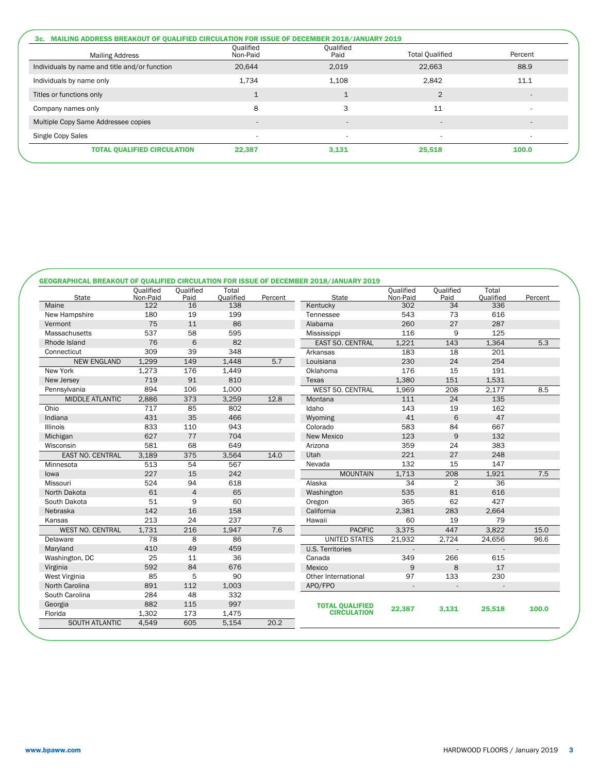| <b>Mailing Address</b>                        | Qualified<br>Non-Paid | Oualified<br>Paid | <b>Total Qualified</b>   | Percent                  |
|-----------------------------------------------|-----------------------|-------------------|--------------------------|--------------------------|
| Individuals by name and title and/or function | 20,644                | 2,019             | 22,663                   | 88.9                     |
| Individuals by name only                      | 1,734                 | 1,108             | 2.842                    | 11.1                     |
| Titles or functions only                      |                       |                   | $\overline{2}$           |                          |
| Company names only                            | 8                     | 3                 | 11                       |                          |
| Multiple Copy Same Addressee copies           | $\sim$                | $\overline{a}$    |                          | $\overline{\phantom{a}}$ |
| Single Copy Sales                             |                       |                   | $\overline{\phantom{a}}$ |                          |
| <b>TOTAL QUALIFIED CIRCULATION</b>            | 22,387                | 3,131             | 25,518                   | 100.0                    |

| State                   | Oualified<br>Non-Paid | Qualified<br>Paid | Total<br>Qualified | Percent | <b>State</b>            | Oualified<br>Non-Paid    | Qualified<br>Paid | Total<br>Qualified | Percent |
|-------------------------|-----------------------|-------------------|--------------------|---------|-------------------------|--------------------------|-------------------|--------------------|---------|
| Maine                   | 122                   | 16                | 138                |         | Kentucky                | 302                      | 34                | 336                |         |
| New Hampshire           | 180                   | 19                | 199                |         | Tennessee               | 543                      | 73                | 616                |         |
| Vermont                 | 75                    | 11                | 86                 |         | Alabama                 | 260                      | 27                | 287                |         |
| Massachusetts           | 537                   | 58                | 595                |         | Mississippi             | 116                      | 9                 | 125                |         |
| Rhode Island            | 76                    | 6                 | 82                 |         | EAST SO. CENTRAL        | 1,221                    | 143               | 1,364              | 5.3     |
| Connecticut             | 309                   | 39                | 348                |         | Arkansas                | 183                      | 18                | 201                |         |
| <b>NEW ENGLAND</b>      | 1.299                 | 149               | 1.448              | 5.7     | Louisiana               | 230                      | 24                | 254                |         |
| New York                | 1,273                 | 176               | 1,449              |         | Oklahoma                | 176                      | 15                | 191                |         |
| New Jersey              | 719                   | 91                | 810                |         | Texas                   | 1,380                    | 151               | 1,531              |         |
| Pennsylvania            | 894                   | 106               | 1,000              |         | <b>WEST SO. CENTRAL</b> | 1,969                    | 208               | 2,177              | 8.5     |
| MIDDLE ATLANTIC         | 2,886                 | 373               | 3,259              | 12.8    | Montana                 | 111                      | $\overline{24}$   | 135                |         |
| Ohio                    | 717                   | 85                | 802                |         | Idaho                   | 143                      | 19                | 162                |         |
| Indiana                 | 431                   | 35                | 466                |         | Wyoming                 | 41                       | 6                 | 47                 |         |
| Illinois                | 833                   | 110               | 943                |         | Colorado                | 583                      | 84                | 667                |         |
| Michigan                | 627                   | 77                | 704                |         | <b>New Mexico</b>       | 123                      | 9                 | 132                |         |
| Wisconsin               | 581                   | 68                | 649                |         | Arizona                 | 359                      | 24                | 383                |         |
| <b>EAST NO. CENTRAL</b> | 3.189                 | 375               | 3,564              | 14.0    | Utah                    | 221                      | 27                | 248                |         |
| Minnesota               | 513                   | 54                | 567                |         | Nevada                  | 132                      | 15                | 147                |         |
| lowa                    | 227                   | 15                | 242                |         | <b>MOUNTAIN</b>         | 1,713                    | 208               | 1,921              | 7.5     |
| Missouri                | 524                   | 94                | 618                |         | Alaska                  | 34                       | $\overline{2}$    | 36                 |         |
| North Dakota            | 61                    | $\overline{4}$    | 65                 |         | Washington              | 535                      | 81                | 616                |         |
| South Dakota            | 51                    | 9                 | 60                 |         | Oregon                  | 365                      | 62                | 427                |         |
| Nebraska                | 142                   | 16                | 158                |         | California              | 2,381                    | 283               | 2,664              |         |
| Kansas                  | 213                   | 24                | 237                |         | Hawaii                  | 60                       | 19                | 79                 |         |
| <b>WEST NO. CENTRAL</b> | 1.731                 | 216               | 1,947              | 7.6     | <b>PACIFIC</b>          | 3,375                    | 447               | 3.822              | 15.0    |
| Delaware                | 78                    | 8                 | 86                 |         | <b>UNITED STATES</b>    | 21,932                   | 2,724             | 24,656             | 96.6    |
| Maryland                | 410                   | 49                | 459                |         | U.S. Territories        |                          |                   | $\overline{a}$     |         |
| Washington, DC          | 25                    | 11                | 36                 |         | Canada                  | 349                      | 266               | 615                |         |
| Virginia                | 592                   | 84                | 676                |         | Mexico                  | 9                        | 8                 | 17                 |         |
| West Virginia           | 85                    | 5                 | 90                 |         | Other International     | 97                       | 133               | 230                |         |
| North Carolina          | 891                   | 112               | 1,003              |         | APO/FPO                 | $\overline{\phantom{a}}$ | $\sim$            |                    |         |
| South Carolina          | 284                   | 48                | 332                |         |                         |                          |                   |                    |         |
| Georgia                 | 882                   | 115               | 997                |         | <b>TOTAL QUALIFIED</b>  |                          |                   |                    |         |
| Florida                 | 1,302                 | 173               | 1,475              |         | <b>CIRCULATION</b>      | 22.387                   | 3.131             | 25,518             | 100.0   |
| <b>SOUTH ATLANTIC</b>   | 4.549                 | 605               | 5,154              | 20.2    |                         |                          |                   |                    |         |